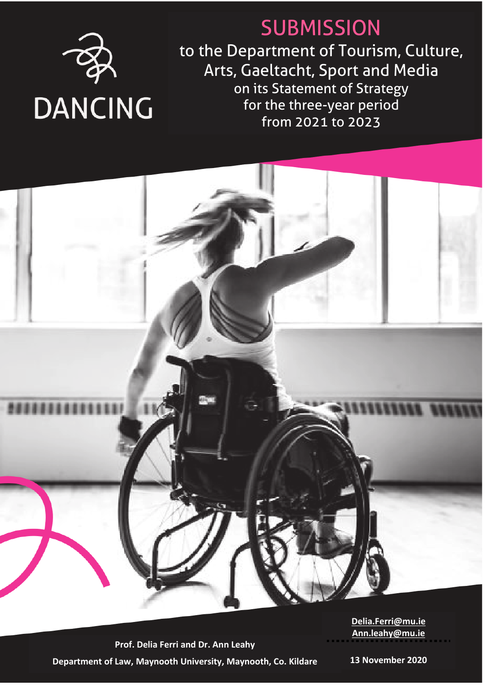

# **SUBMISSION**

to the Department of Tourism, Culture, Arts, Gaeltacht, Sport and Media on its Statement of Strategy for the three-year period from 2021 to 2023



**Prof. Delia Ferri and Dr. Ann Leahy Department of Law, Maynooth University, Maynooth, Co. Kildare** **[Delia.Ferri@mu.ie](mailto:Delia.Ferri@mu.ie) [Ann.leahy@mu.ie](mailto:Ann.leahy@mu.ie)** 

**13 November 2020**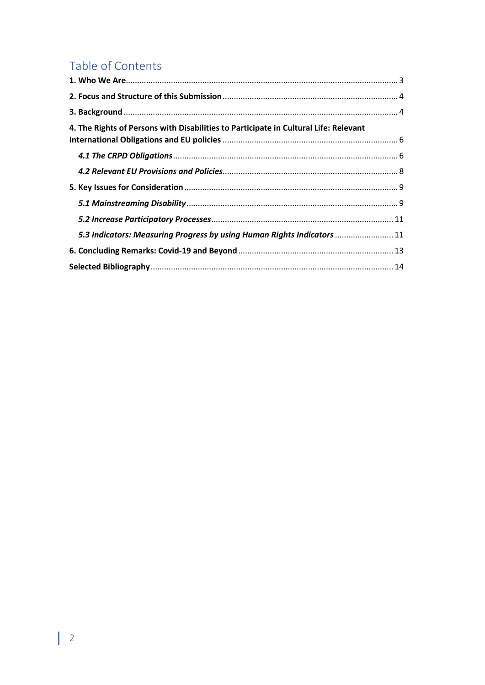## Table of Contents

| 4. The Rights of Persons with Disabilities to Participate in Cultural Life: Relevant |  |
|--------------------------------------------------------------------------------------|--|
|                                                                                      |  |
|                                                                                      |  |
|                                                                                      |  |
|                                                                                      |  |
|                                                                                      |  |
| 5.3 Indicators: Measuring Progress by using Human Rights Indicators  11              |  |
|                                                                                      |  |
|                                                                                      |  |
|                                                                                      |  |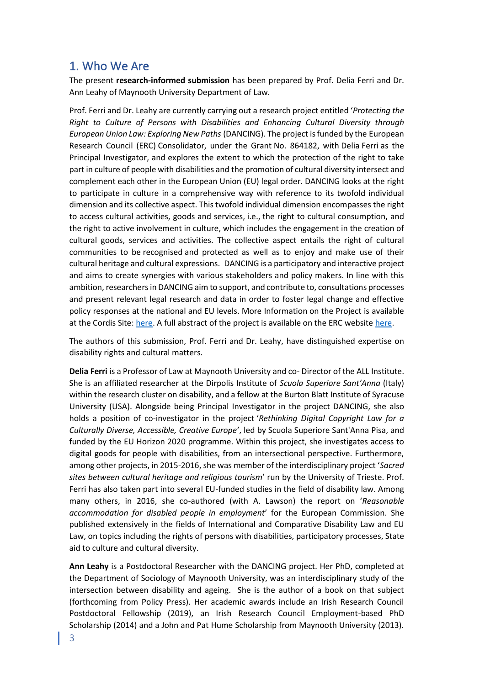### <span id="page-2-0"></span>1. Who We Are

The present **research-informed submission** has been prepared by Prof. Delia Ferri and Dr. Ann Leahy of Maynooth University Department of Law.

Prof. Ferri and Dr. Leahy are currently carrying out a research project entitled '*Protecting the Right to Culture of Persons with Disabilities and Enhancing Cultural Diversity through European Union Law: Exploring New Paths* (DANCING). The project is funded by the European Research Council (ERC) Consolidator, under the Grant No. 864182, with Delia Ferri as the Principal Investigator, and explores the extent to which the protection of the right to take part in culture of people with disabilities and the promotion of cultural diversity intersect and complement each other in the European Union (EU) legal order. DANCING looks at the right to participate in culture in a comprehensive way with reference to its twofold individual dimension and its collective aspect. This twofold individual dimension encompasses the right to access cultural activities, goods and services, i.e., the right to cultural consumption, and the right to active involvement in culture, which includes the engagement in the creation of cultural goods, services and activities. The collective aspect entails the right of cultural communities to be recognised and protected as well as to enjoy and make use of their cultural heritage and cultural expressions. DANCING is a participatory and interactive project and aims to create synergies with various stakeholders and policy makers. In line with this ambition, researchers in DANCING aim to support, and contribute to, consultations processes and present relevant legal research and data in order to foster legal change and effective policy responses at the national and EU levels. More Information on the Project is available at the Cordis Site[: here.](https://cordis.europa.eu/project/id/864182) A full abstract of the project is available on the ERC websit[e here.](https://erc.europa.eu/projects-figures/erc-funded-projects/results?f%5B0%5D=call_year%3A2019&f%5B1%5D=tid%253Aparents_all%3A82&f%5B2%5D=country%3AIreland)

The authors of this submission, Prof. Ferri and Dr. Leahy, have distinguished expertise on disability rights and cultural matters.

**Delia Ferri** is a Professor of Law at Maynooth University and co- Director of the ALL Institute. She is an affiliated researcher at the Dirpolis Institute of *Scuola Superiore Sant'Anna* (Italy) within the research cluster on disability, and a fellow at the Burton Blatt Institute of Syracuse University (USA). Alongside being Principal Investigator in the project DANCING, she also holds a position of co-investigator in the project '*Rethinking Digital Copyright Law for a Culturally Diverse, Accessible, Creative Europe'*, led by Scuola Superiore Sant'Anna Pisa, and funded by the EU Horizon 2020 programme. Within this project, she investigates access to digital goods for people with disabilities, from an intersectional perspective. Furthermore, among other projects, in 2015-2016, she was member of the interdisciplinary project '*Sacred sites between cultural heritage and religious tourism*' run by the University of Trieste. Prof. Ferri has also taken part into several EU-funded studies in the field of disability law. Among many others, in 2016, she co-authored (with A. Lawson) the report on '*Reasonable accommodation for disabled people in employment*' for the European Commission. She published extensively in the fields of International and Comparative Disability Law and EU Law, on topics including the rights of persons with disabilities, participatory processes, State aid to culture and cultural diversity.

**Ann Leahy** is a Postdoctoral Researcher with the DANCING project. Her PhD, completed at the Department of Sociology of Maynooth University, was an interdisciplinary study of the intersection between disability and ageing. She is the author of a book on that subject (forthcoming from Policy Press). Her academic awards include an Irish Research Council Postdoctoral Fellowship (2019), an Irish Research Council Employment-based PhD Scholarship (2014) and a John and Pat Hume Scholarship from Maynooth University (2013).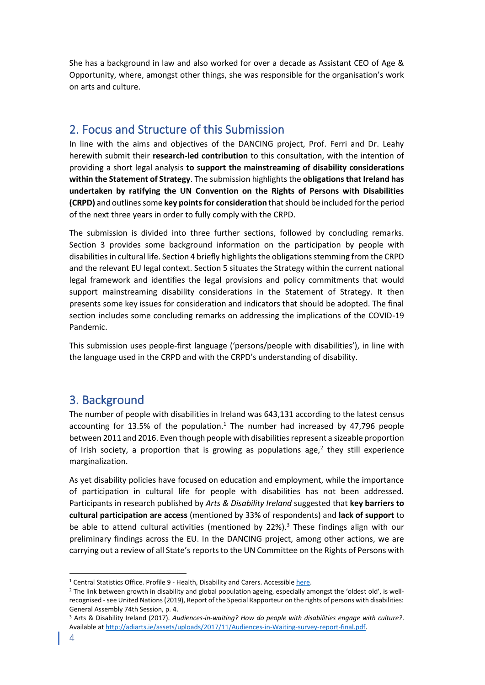She has a background in law and also worked for over a decade as Assistant CEO of Age & Opportunity, where, amongst other things, she was responsible for the organisation's work on arts and culture.

## <span id="page-3-0"></span>2. Focus and Structure of this Submission

In line with the aims and objectives of the DANCING project, Prof. Ferri and Dr. Leahy herewith submit their **research-led contribution** to this consultation, with the intention of providing a short legal analysis **to support the mainstreaming of disability considerations within the Statement of Strategy**. The submission highlights the **obligations that Ireland has undertaken by ratifying the UN Convention on the Rights of Persons with Disabilities (CRPD)** and outlines some **key points for consideration** that should be included for the period of the next three years in order to fully comply with the CRPD.

The submission is divided into three further sections, followed by concluding remarks. Section 3 provides some background information on the participation by people with disabilities in cultural life. Section 4 briefly highlights the obligations stemming from the CRPD and the relevant EU legal context. Section 5 situates the Strategy within the current national legal framework and identifies the legal provisions and policy commitments that would support mainstreaming disability considerations in the Statement of Strategy. It then presents some key issues for consideration and indicators that should be adopted. The final section includes some concluding remarks on addressing the implications of the COVID-19 Pandemic.

This submission uses people-first language ('persons/people with disabilities'), in line with the language used in the CRPD and with the CRPD's understanding of disability.

## <span id="page-3-1"></span>3. Background

The number of people with disabilities in Ireland was 643,131 according to the latest census accounting for 13.5% of the population.<sup>1</sup> The number had increased by 47,796 people between 2011 and 2016. Even though people with disabilities represent a sizeable proportion of Irish society, a proportion that is growing as populations age,<sup>2</sup> they still experience marginalization.

As yet disability policies have focused on education and employment, while the importance of participation in cultural life for people with disabilities has not been addressed. Participants in research published by *Arts & Disability Ireland* suggested that **key barriers to cultural participation are access** (mentioned by 33% of respondents) and **lack of support** to be able to attend cultural activities (mentioned by  $22\%$ ).<sup>3</sup> These findings align with our preliminary findings across the EU. In the DANCING project, among other actions, we are carrying out a review of all State's reports to the UN Committee on the Rights of Persons with

<sup>&</sup>lt;sup>1</sup> Central Statistics Office. Profile 9 - Health, Disability and Carers. Accessible [here.](https://www.cso.ie/en/csolatestnews/pressreleases/2017pressreleases/pressstatementcensus2016resultsprofile9-healthdisabilityandcarers/)

<sup>&</sup>lt;sup>2</sup> The link between growth in disability and global population ageing, especially amongst the 'oldest old', is wellrecognised -see United Nations (2019), Report of the Special Rapporteur on the rights of persons with disabilities: General Assembly 74th Session, p. 4.

<sup>3</sup> Arts & Disability Ireland (2017). *Audiences-in-waiting? How do people with disabilities engage with culture?*. Available a[t http://adiarts.ie/assets/uploads/2017/11/Audiences-in-Waiting-survey-report-final.pdf.](http://adiarts.ie/assets/uploads/2017/11/Audiences-in-Waiting-survey-report-final.pdf)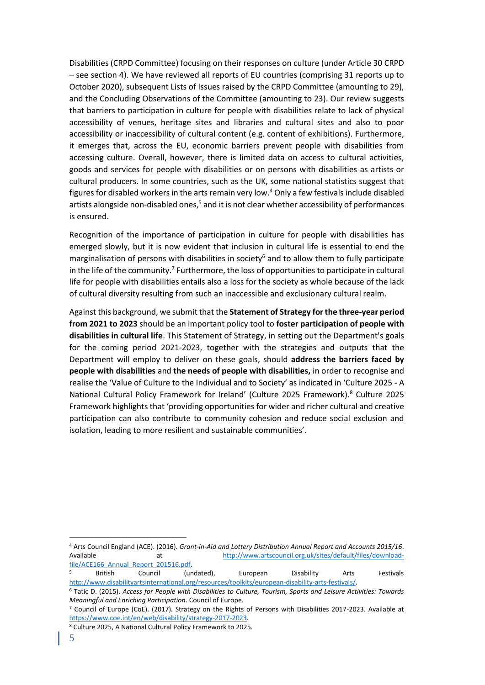Disabilities (CRPD Committee) focusing on their responses on culture (under Article 30 CRPD – see section 4). We have reviewed all reports of EU countries (comprising 31 reports up to October 2020), subsequent Lists of Issues raised by the CRPD Committee (amounting to 29), and the Concluding Observations of the Committee (amounting to 23). Our review suggests that barriers to participation in culture for people with disabilities relate to lack of physical accessibility of venues, heritage sites and libraries and cultural sites and also to poor accessibility or inaccessibility of cultural content (e.g. content of exhibitions). Furthermore, it emerges that, across the EU, economic barriers prevent people with disabilities from accessing culture. Overall, however, there is limited data on access to cultural activities, goods and services for people with disabilities or on persons with disabilities as artists or cultural producers. In some countries, such as the UK, some national statistics suggest that figures for disabled workers in the arts remain very low.<sup>4</sup> Only a few festivals include disabled artists alongside non-disabled ones,<sup>5</sup> and it is not clear whether accessibility of performances is ensured.

Recognition of the importance of participation in culture for people with disabilities has emerged slowly, but it is now evident that inclusion in cultural life is essential to end the marginalisation of persons with disabilities in society<sup>6</sup> and to allow them to fully participate in the life of the community.<sup>7</sup> Furthermore, the loss of opportunities to participate in cultural life for people with disabilities entails also a loss for the society as whole because of the lack of cultural diversity resulting from such an inaccessible and exclusionary cultural realm.

Against this background, we submit that the **Statement of Strategy for the three-year period from 2021 to 2023** should be an important policy tool to **foster participation of people with disabilities in cultural life**. This Statement of Strategy, in setting out the Department's goals for the coming period 2021-2023, together with the strategies and outputs that the Department will employ to deliver on these goals, should **address the barriers faced by people with disabilities** and **the needs of people with disabilities,** in order to recognise and realise the 'Value of Culture to the Individual and to Society' as indicated in 'Culture 2025 - A National Cultural Policy Framework for Ireland' (Culture 2025 Framework). <sup>8</sup> Culture 2025 Framework highlights that 'providing opportunities for wider and richer cultural and creative participation can also contribute to community cohesion and reduce social exclusion and isolation, leading to more resilient and sustainable communities'.

<sup>5</sup> British Council (undated), European Disability Arts Festivals [http://www.disabilityartsinternational.org/resources/toolkits/european-disability-arts-festivals/.](http://www.disabilityartsinternational.org/resources/toolkits/european-disability-arts-festivals/) 

<sup>4</sup> Arts Council England (ACE). (2016). *Grant-in-Aid and Lottery Distribution Annual Report and Accounts 2015/16*. Available at [http://www.artscouncil.org.uk/sites/default/files/download](http://www.artscouncil.org.uk/sites/default/files/download-file/ACE166_Annual_Report_201516.pdf)file/ACE166 Annual Report 201516.pdf.

<sup>6</sup> Tatic D. (2015). *Access for People with Disabilities to Culture, Tourism, Sports and Leisure Activities: Towards Meaningful and Enriching Participation*. Council of Europe.

<sup>7</sup> Council of Europe (CoE). (2017). Strategy on the Rights of Persons with Disabilities 2017-2023. Available at [https://www.coe.int/en/web/disability/strategy-2017-2023.](https://www.coe.int/en/web/disability/strategy-2017-2023) 

<sup>8</sup> Culture 2025, A National Cultural Policy Framework to 2025.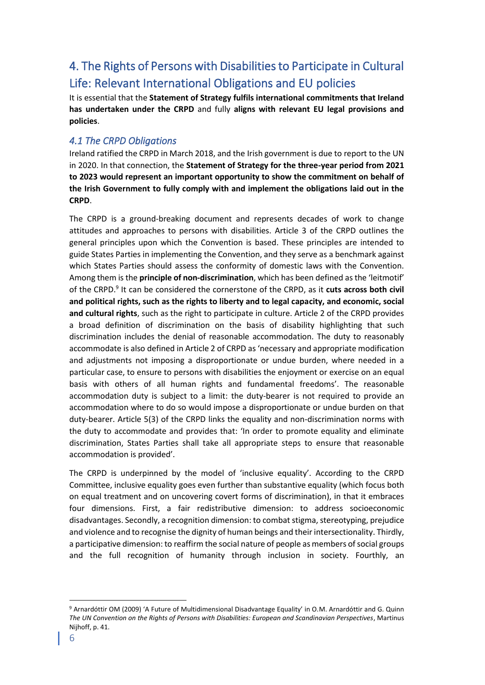## <span id="page-5-0"></span>4. The Rights of Persons with Disabilities to Participate in Cultural Life: Relevant International Obligations and EU policies

It is essential that the **Statement of Strategy fulfils international commitments that Ireland has undertaken under the CRPD** and fully **aligns with relevant EU legal provisions and policies**.

#### <span id="page-5-1"></span>*4.1 The CRPD Obligations*

Ireland ratified the CRPD in March 2018, and the Irish government is due to report to the UN in 2020. In that connection, the **Statement of Strategy for the three-year period from 2021 to 2023 would represent an important opportunity to show the commitment on behalf of the Irish Government to fully comply with and implement the obligations laid out in the CRPD**.

The CRPD is a ground-breaking document and represents decades of work to change attitudes and approaches to persons with disabilities. Article 3 of the CRPD outlines the general principles upon which the Convention is based. These principles are intended to guide States Parties in implementing the Convention, and they serve as a benchmark against which States Parties should assess the conformity of domestic laws with the Convention. Among them is the **principle of non-discrimination**, which has been defined as the 'leitmotif' of the CRPD.<sup>9</sup> It can be considered the cornerstone of the CRPD, as it cuts across both civil **and political rights, such as the rights to liberty and to legal capacity, and economic, social and cultural rights**, such as the right to participate in culture. Article 2 of the CRPD provides a broad definition of discrimination on the basis of disability highlighting that such discrimination includes the denial of reasonable accommodation. The duty to reasonably accommodate is also defined in Article 2 of CRPD as 'necessary and appropriate modification and adjustments not imposing a disproportionate or undue burden, where needed in a particular case, to ensure to persons with disabilities the enjoyment or exercise on an equal basis with others of all human rights and fundamental freedoms'. The reasonable accommodation duty is subject to a limit: the duty-bearer is not required to provide an accommodation where to do so would impose a disproportionate or undue burden on that duty-bearer. Article 5(3) of the CRPD links the equality and non-discrimination norms with the duty to accommodate and provides that: 'In order to promote equality and eliminate discrimination, States Parties shall take all appropriate steps to ensure that reasonable accommodation is provided'.

The CRPD is underpinned by the model of 'inclusive equality'. According to the CRPD Committee, inclusive equality goes even further than substantive equality (which focus both on equal treatment and on uncovering covert forms of discrimination), in that it embraces four dimensions. First, a fair redistributive dimension: to address socioeconomic disadvantages. Secondly, a recognition dimension: to combat stigma, stereotyping, prejudice and violence and to recognise the dignity of human beings and their intersectionality. Thirdly, a participative dimension: to reaffirm the social nature of people as members of social groups and the full recognition of humanity through inclusion in society. Fourthly, an

<sup>9</sup> Arnardóttir OM (2009) 'A Future of Multidimensional Disadvantage Equality' in O*.*M. Arnardóttir and G. Quinn *The UN Convention on the Rights of Persons with Disabilities: European and Scandinavian Perspectives*, Martinus Nijhoff, p. 41.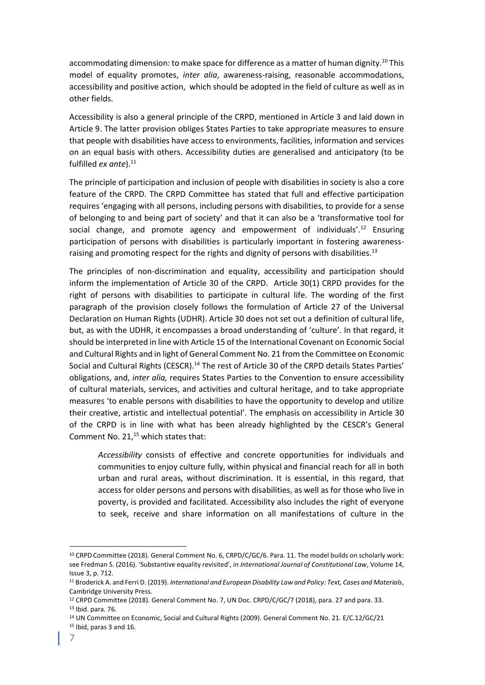accommodating dimension: to make space for difference as a matter of human dignity.<sup>10</sup> This model of equality promotes, *inter alia*, awareness-raising, reasonable accommodations, accessibility and positive action, which should be adopted in the field of culture as well as in other fields.

Accessibility is also a general principle of the CRPD, mentioned in Article 3 and laid down in Article 9. The latter provision obliges States Parties to take appropriate measures to ensure that people with disabilities have access to environments, facilities, information and services on an equal basis with others. Accessibility duties are generalised and anticipatory (to be fulfilled *ex ante*).<sup>11</sup>

The principle of participation and inclusion of people with disabilities in society is also a core feature of the CRPD. The CRPD Committee has stated that full and effective participation requires 'engaging with all persons, including persons with disabilities, to provide for a sense of belonging to and being part of society' and that it can also be a 'transformative tool for social change, and promote agency and empowerment of individuals'.<sup>12</sup> Ensuring participation of persons with disabilities is particularly important in fostering awarenessraising and promoting respect for the rights and dignity of persons with disabilities.<sup>13</sup>

The principles of non-discrimination and equality, accessibility and participation should inform the implementation of Article 30 of the CRPD. Article 30(1) CRPD provides for the right of persons with disabilities to participate in cultural life. The wording of the first paragraph of the provision closely follows the formulation of Article 27 of the Universal Declaration on Human Rights (UDHR). Article 30 does not set out a definition of cultural life, but, as with the UDHR, it encompasses a broad understanding of 'culture'. In that regard, it should be interpreted in line with Article 15 of the International Covenant on Economic Social and Cultural Rights and in light of General Comment No. 21 from the Committee on Economic Social and Cultural Rights (CESCR).<sup>14</sup> The rest of Article 30 of the CRPD details States Parties' obligations, and, *inter alia,* requires States Parties to the Convention to ensure accessibility of cultural materials, services, and activities and cultural heritage, and to take appropriate measures 'to enable persons with disabilities to have the opportunity to develop and utilize their creative, artistic and intellectual potential'. The emphasis on accessibility in Article 30 of the CRPD is in line with what has been already highlighted by the CESCR's General Comment No.  $21<sub>1</sub><sup>15</sup>$  which states that:

*Accessibility* consists of effective and concrete opportunities for individuals and communities to enjoy culture fully, within physical and financial reach for all in both urban and rural areas, without discrimination. It is essential, in this regard, that access for older persons and persons with disabilities, as well as for those who live in poverty, is provided and facilitated. Accessibility also includes the right of everyone to seek, receive and share information on all manifestations of culture in the

<sup>10</sup> CRPD Committee (2018). General Comment No. 6, CRPD/C/GC/6. Para. 11. The model builds on scholarly work: see Fredman S. (2016). 'Substantive equality revisited', in *International Journal of Constitutional Law*, Volume 14, Issue 3, p. 712.

<sup>11</sup> Broderick A. and Ferri D. (2019). *International and European Disability Law and Policy: Text, Cases and Materials*, Cambridge University Press.

<sup>&</sup>lt;sup>12</sup> CRPD Committee (2018). General Comment No. 7, UN Doc. CRPD/C/GC/7 (2018), para. 27 and para. 33. <sup>13</sup> Ibid. para. 76.

<sup>14</sup> UN Committee on Economic, Social and Cultural Rights (2009). General Comment No. 21. E/C.12/GC/21

<sup>15</sup> Ibid, paras 3 and 16.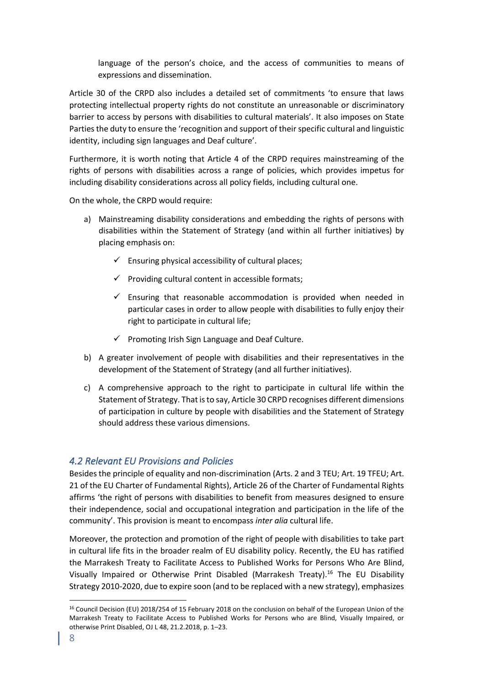language of the person's choice, and the access of communities to means of expressions and dissemination.

Article 30 of the CRPD also includes a detailed set of commitments 'to ensure that laws protecting intellectual property rights do not constitute an unreasonable or discriminatory barrier to access by persons with disabilities to cultural materials'. It also imposes on State Parties the duty to ensure the 'recognition and support of their specific cultural and linguistic identity, including sign languages and Deaf culture'.

Furthermore, it is worth noting that Article 4 of the CRPD requires mainstreaming of the rights of persons with disabilities across a range of policies, which provides impetus for including disability considerations across all policy fields, including cultural one.

On the whole, the CRPD would require:

- a) Mainstreaming disability considerations and embedding the rights of persons with disabilities within the Statement of Strategy (and within all further initiatives) by placing emphasis on:
	- $\checkmark$  Ensuring physical accessibility of cultural places;
	- $\checkmark$  Providing cultural content in accessible formats;
	- $\checkmark$  Ensuring that reasonable accommodation is provided when needed in particular cases in order to allow people with disabilities to fully enjoy their right to participate in cultural life;
	- $\checkmark$  Promoting Irish Sign Language and Deaf Culture.
- b) A greater involvement of people with disabilities and their representatives in the development of the Statement of Strategy (and all further initiatives).
- c) A comprehensive approach to the right to participate in cultural life within the Statement of Strategy. That is to say, Article 30 CRPD recognises different dimensions of participation in culture by people with disabilities and the Statement of Strategy should address these various dimensions.

#### <span id="page-7-0"></span>*4.2 Relevant EU Provisions and Policies*

Besides the principle of equality and non-discrimination (Arts. 2 and 3 TEU; Art. 19 TFEU; Art. 21 of the EU Charter of Fundamental Rights), Article 26 of the Charter of Fundamental Rights affirms 'the right of persons with disabilities to benefit from measures designed to ensure their independence, social and occupational integration and participation in the life of the community'. This provision is meant to encompass *inter alia* cultural life.

Moreover, the protection and promotion of the right of people with disabilities to take part in cultural life fits in the broader realm of EU disability policy. Recently, the EU has ratified the Marrakesh Treaty to Facilitate Access to Published Works for Persons Who Are Blind, Visually Impaired or Otherwise Print Disabled (Marrakesh Treaty).<sup>16</sup> The EU Disability Strategy 2010-2020, due to expire soon (and to be replaced with a new strategy), emphasizes

<sup>16</sup> Council Decision (EU) 2018/254 of 15 February 2018 on the conclusion on behalf of the European Union of the Marrakesh Treaty to Facilitate Access to Published Works for Persons who are Blind, Visually Impaired, or otherwise Print Disabled, OJ L 48, 21.2.2018, p. 1–23.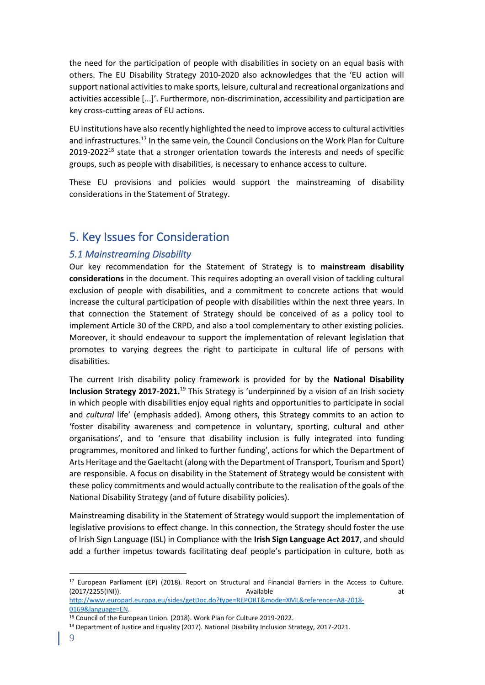the need for the participation of people with disabilities in society on an equal basis with others. The EU Disability Strategy 2010-2020 also acknowledges that the 'EU action will support national activities to make sports, leisure, cultural and recreational organizations and activities accessible [...]'. Furthermore, non-discrimination, accessibility and participation are key cross-cutting areas of EU actions.

EU institutions have also recently highlighted the need to improve access to cultural activities and infrastructures.<sup>17</sup> In the same vein, the Council Conclusions on the Work Plan for Culture  $2019-2022^{18}$  state that a stronger orientation towards the interests and needs of specific groups, such as people with disabilities, is necessary to enhance access to culture.

These EU provisions and policies would support the mainstreaming of disability considerations in the Statement of Strategy.

## <span id="page-8-0"></span>5. Key Issues for Consideration

#### <span id="page-8-1"></span>*5.1 Mainstreaming Disability*

Our key recommendation for the Statement of Strategy is to **mainstream disability considerations** in the document. This requires adopting an overall vision of tackling cultural exclusion of people with disabilities, and a commitment to concrete actions that would increase the cultural participation of people with disabilities within the next three years. In that connection the Statement of Strategy should be conceived of as a policy tool to implement Article 30 of the CRPD, and also a tool complementary to other existing policies. Moreover, it should endeavour to support the implementation of relevant legislation that promotes to varying degrees the right to participate in cultural life of persons with disabilities.

The current Irish disability policy framework is provided for by the **National Disability Inclusion Strategy 2017-2021.**<sup>19</sup> This Strategy is 'underpinned by a vision of an Irish society in which people with disabilities enjoy equal rights and opportunities to participate in social and *cultural* life' (emphasis added). Among others, this Strategy commits to an action to 'foster disability awareness and competence in voluntary, sporting, cultural and other organisations', and to 'ensure that disability inclusion is fully integrated into funding programmes, monitored and linked to further funding', actions for which the Department of Arts Heritage and the Gaeltacht (along with the Department of Transport, Tourism and Sport) are responsible. A focus on disability in the Statement of Strategy would be consistent with these policy commitments and would actually contribute to the realisation of the goals of the National Disability Strategy (and of future disability policies).

Mainstreaming disability in the Statement of Strategy would support the implementation of legislative provisions to effect change. In this connection, the Strategy should foster the use of Irish Sign Language (ISL) in Compliance with the **Irish Sign Language Act 2017**, and should add a further impetus towards facilitating deaf people's participation in culture, both as

<sup>&</sup>lt;sup>17</sup> European Parliament (EP) (2018). Report on Structural and Financial Barriers in the Access to Culture. (2017/2255(INI)). Available at

[http://www.europarl.europa.eu/sides/getDoc.do?type=REPORT&mode=XML&reference=A8-2018-](http://www.europarl.europa.eu/sides/getDoc.do?type=REPORT&mode=XML&reference=A8-2018-0169&language=EN) [0169&language=EN.](http://www.europarl.europa.eu/sides/getDoc.do?type=REPORT&mode=XML&reference=A8-2018-0169&language=EN)

<sup>18</sup> Council of the European Union. (2018). Work Plan for Culture 2019-2022.

<sup>&</sup>lt;sup>19</sup> Department of Justice and Equality (2017). National Disability Inclusion Strategy, 2017-2021.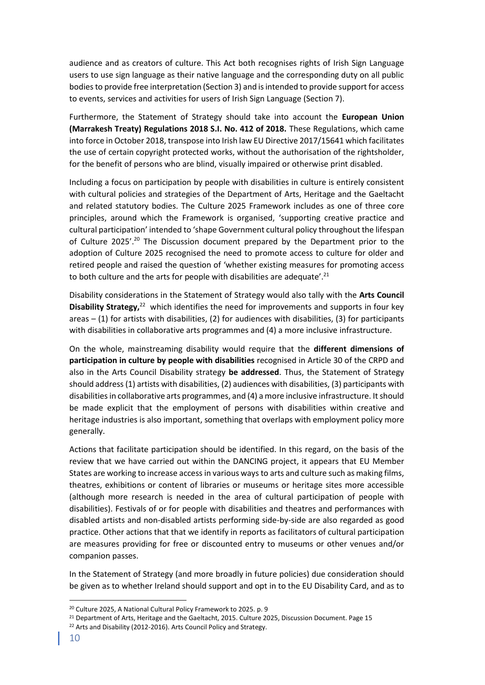audience and as creators of culture. This Act both recognises rights of Irish Sign Language users to use sign language as their native language and the corresponding duty on all public bodies to provide free interpretation (Section 3) and is intended to provide support for access to events, services and activities for users of Irish Sign Language (Section 7).

Furthermore, the Statement of Strategy should take into account the **European Union (Marrakesh Treaty) Regulations 2018 S.I. No. 412 of 2018.** These Regulations, which came into force in October 2018, transpose into Irish law EU Directive 2017/15641 which facilitates the use of certain copyright protected works, without the authorisation of the rightsholder, for the benefit of persons who are blind, visually impaired or otherwise print disabled.

Including a focus on participation by people with disabilities in culture is entirely consistent with cultural policies and strategies of the Department of Arts, Heritage and the Gaeltacht and related statutory bodies. The Culture 2025 Framework includes as one of three core principles, around which the Framework is organised, 'supporting creative practice and cultural participation' intended to 'shape Government cultural policy throughout the lifespan of Culture 2025'.<sup>20</sup> The Discussion document prepared by the Department prior to the adoption of Culture 2025 recognised the need to promote access to culture for older and retired people and raised the question of 'whether existing measures for promoting access to both culture and the arts for people with disabilities are adequate'.<sup>21</sup>

Disability considerations in the Statement of Strategy would also tally with the **Arts Council**  Disability Strategy,<sup>22</sup> which identifies the need for improvements and supports in four key areas – (1) for artists with disabilities, (2) for audiences with disabilities, (3) for participants with disabilities in collaborative arts programmes and (4) a more inclusive infrastructure.

On the whole, mainstreaming disability would require that the **different dimensions of participation in culture by people with disabilities** recognised in Article 30 of the CRPD and also in the Arts Council Disability strategy **be addressed**. Thus, the Statement of Strategy should address (1) artists with disabilities, (2) audiences with disabilities, (3) participants with disabilities in collaborative arts programmes, and (4) a more inclusive infrastructure. It should be made explicit that the employment of persons with disabilities within creative and heritage industries is also important, something that overlaps with employment policy more generally.

Actions that facilitate participation should be identified. In this regard, on the basis of the review that we have carried out within the DANCING project, it appears that EU Member States are working to increase access in various ways to arts and culture such as making films, theatres, exhibitions or content of libraries or museums or heritage sites more accessible (although more research is needed in the area of cultural participation of people with disabilities). Festivals of or for people with disabilities and theatres and performances with disabled artists and non-disabled artists performing side-by-side are also regarded as good practice. Other actions that that we identify in reports as facilitators of cultural participation are measures providing for free or discounted entry to museums or other venues and/or companion passes.

In the Statement of Strategy (and more broadly in future policies) due consideration should be given as to whether Ireland should support and opt in to the EU Disability Card, and as to

<sup>20</sup> Culture 2025, A National Cultural Policy Framework to 2025. p. 9

<sup>&</sup>lt;sup>21</sup> Department of Arts, Heritage and the Gaeltacht, 2015. Culture 2025, Discussion Document. Page 15

<sup>&</sup>lt;sup>22</sup> Arts and Disability (2012-2016). Arts Council Policy and Strategy.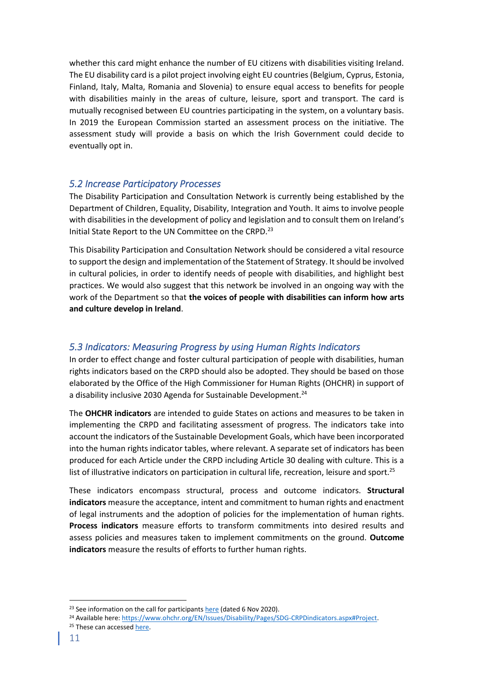whether this card might enhance the number of EU citizens with disabilities visiting Ireland. The EU disability card is a pilot project involving eight EU countries (Belgium, Cyprus, Estonia, Finland, Italy, Malta, Romania and Slovenia) to ensure equal access to benefits for people with disabilities mainly in the areas of culture, leisure, sport and transport. The card is mutually recognised between EU countries participating in the system, on a voluntary basis. In 2019 the European Commission started an assessment process on the initiative. The assessment study will provide a basis on which the Irish Government could decide to eventually opt in.

#### <span id="page-10-0"></span>*5.2 Increase Participatory Processes*

The Disability Participation and Consultation Network is currently being established by the Department of Children, Equality, Disability, Integration and Youth. It aims to involve people with disabilities in the development of policy and legislation and to consult them on Ireland's Initial State Report to the UN Committee on the CRPD.<sup>23</sup>

This Disability Participation and Consultation Network should be considered a vital resource to support the design and implementation of the Statement of Strategy. It should be involved in cultural policies, in order to identify needs of people with disabilities, and highlight best practices. We would also suggest that this network be involved in an ongoing way with the work of the Department so that **the voices of people with disabilities can inform how arts and culture develop in Ireland**.

#### <span id="page-10-1"></span>*5.3 Indicators: Measuring Progress by using Human Rights Indicators*

In order to effect change and foster cultural participation of people with disabilities, human rights indicators based on the CRPD should also be adopted. They should be based on those elaborated by the Office of the High Commissioner for Human Rights (OHCHR) in support of a disability inclusive 2030 Agenda for Sustainable Development.<sup>24</sup>

The **OHCHR indicators** are intended to guide States on actions and measures to be taken in implementing the CRPD and facilitating assessment of progress. The indicators take into account the indicators of the Sustainable Development Goals, which have been incorporated into the human rights indicator tables, where relevant. A separate set of indicators has been produced for each Article under the CRPD including Article 30 dealing with culture. This is a list of illustrative indicators on participation in cultural life, recreation, leisure and sport.<sup>25</sup>

These indicators encompass structural, process and outcome indicators. **Structural indicators** measure the acceptance, intent and commitment to human rights and enactment of legal instruments and the adoption of policies for the implementation of human rights. **Process indicators** measure efforts to transform commitments into desired results and assess policies and measures taken to implement commitments on the ground. **Outcome indicators** measure the results of efforts to further human rights.

<sup>24</sup> Available here: [https://www.ohchr.org/EN/Issues/Disability/Pages/SDG-CRPDindicators.aspx#Project.](https://www.ohchr.org/EN/Issues/Disability/Pages/SDG-CRPDindicators.aspx#Project)

<sup>&</sup>lt;sup>23</sup> See information on the call for participants [here](https://www.gov.ie/en/press-release/b1b47-launch-of-expressions-of-interest-to-join-irelands-disability-participation-and-consultation-network/) (dated 6 Nov 2020).

<sup>&</sup>lt;sup>25</sup> These can accesse[d here.](https://www.ohchr.org/EN/Issues/Disability/Pages/SDG-CRPDindicators.aspx#Project)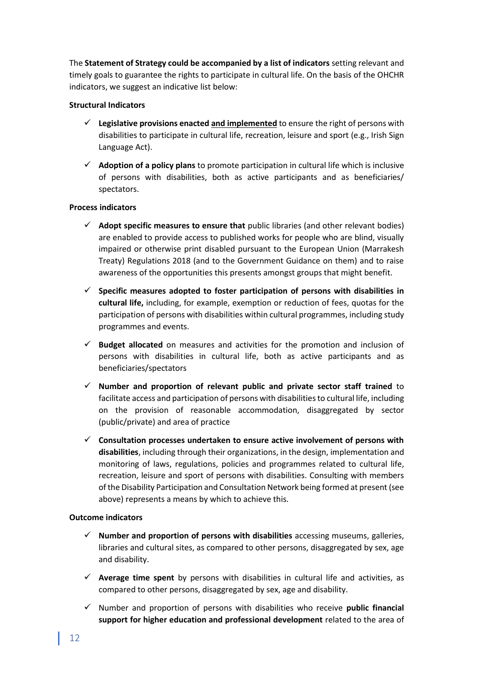The **Statement of Strategy could be accompanied by a list of indicators** setting relevant and timely goals to guarantee the rights to participate in cultural life. On the basis of the OHCHR indicators, we suggest an indicative list below:

#### **Structural Indicators**

- ✓ **Legislative provisions enacted and implemented** to ensure the right of persons with disabilities to participate in cultural life, recreation, leisure and sport (e.g., Irish Sign Language Act).
- ✓ **Adoption of a policy plans** to promote participation in cultural life which is inclusive of persons with disabilities, both as active participants and as beneficiaries/ spectators.

#### **Process indicators**

- ✓ **Adopt specific measures to ensure that** public libraries (and other relevant bodies) are enabled to provide access to published works for people who are blind, visually impaired or otherwise print disabled pursuant to the European Union (Marrakesh Treaty) Regulations 2018 (and to the Government Guidance on them) and to raise awareness of the opportunities this presents amongst groups that might benefit.
- ✓ **Specific measures adopted to foster participation of persons with disabilities in cultural life,** including, for example, exemption or reduction of fees, quotas for the participation of persons with disabilities within cultural programmes, including study programmes and events.
- ✓ **Budget allocated** on measures and activities for the promotion and inclusion of persons with disabilities in cultural life, both as active participants and as beneficiaries/spectators
- ✓ **Number and proportion of relevant public and private sector staff trained** to facilitate access and participation of persons with disabilities to cultural life, including on the provision of reasonable accommodation, disaggregated by sector (public/private) and area of practice
- ✓ **Consultation processes undertaken to ensure active involvement of persons with disabilities**, including through their organizations, in the design, implementation and monitoring of laws, regulations, policies and programmes related to cultural life, recreation, leisure and sport of persons with disabilities. Consulting with members of the Disability Participation and Consultation Network being formed at present (see above) represents a means by which to achieve this.

#### **Outcome indicators**

- ✓ **Number and proportion of persons with disabilities** accessing museums, galleries, libraries and cultural sites, as compared to other persons, disaggregated by sex, age and disability.
- ✓ **Average time spent** by persons with disabilities in cultural life and activities, as compared to other persons, disaggregated by sex, age and disability.
- ✓ Number and proportion of persons with disabilities who receive **public financial support for higher education and professional development** related to the area of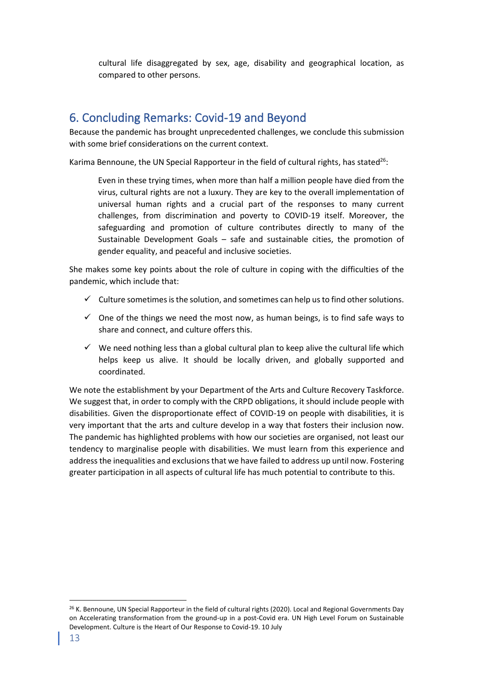cultural life disaggregated by sex, age, disability and geographical location, as compared to other persons.

## <span id="page-12-0"></span>6. Concluding Remarks: Covid-19 and Beyond

Because the pandemic has brought unprecedented challenges, we conclude this submission with some brief considerations on the current context.

Karima Bennoune, the UN Special Rapporteur in the field of cultural rights, has stated<sup>26</sup>:

Even in these trying times, when more than half a million people have died from the virus, cultural rights are not a luxury. They are key to the overall implementation of universal human rights and a crucial part of the responses to many current challenges, from discrimination and poverty to COVID-19 itself. Moreover, the safeguarding and promotion of culture contributes directly to many of the Sustainable Development Goals – safe and sustainable cities, the promotion of gender equality, and peaceful and inclusive societies.

She makes some key points about the role of culture in coping with the difficulties of the pandemic, which include that:

- $\checkmark$  Culture sometimes is the solution, and sometimes can help us to find other solutions.
- $\checkmark$  One of the things we need the most now, as human beings, is to find safe ways to share and connect, and culture offers this.
- $\checkmark$  We need nothing less than a global cultural plan to keep alive the cultural life which helps keep us alive. It should be locally driven, and globally supported and coordinated.

We note the establishment by your Department of the Arts and Culture Recovery Taskforce. We suggest that, in order to comply with the CRPD obligations, it should include people with disabilities. Given the disproportionate effect of COVID-19 on people with disabilities, it is very important that the arts and culture develop in a way that fosters their inclusion now. The pandemic has highlighted problems with how our societies are organised, not least our tendency to marginalise people with disabilities. We must learn from this experience and address the inequalities and exclusions that we have failed to address up until now. Fostering greater participation in all aspects of cultural life has much potential to contribute to this.

<sup>&</sup>lt;sup>26</sup> K. Bennoune, UN Special Rapporteur in the field of cultural rights (2020). Local and Regional Governments Day on Accelerating transformation from the ground-up in a post-Covid era. UN High Level Forum on Sustainable Development. Culture is the Heart of Our Response to Covid-19. 10 July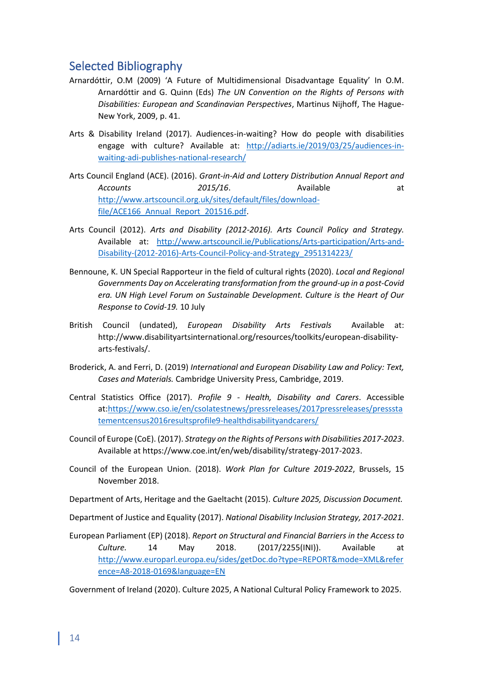## <span id="page-13-0"></span>Selected Bibliography

- Arnardóttir, O.M (2009) 'A Future of Multidimensional Disadvantage Equality' In O.M. Arnardóttir and G. Quinn (Eds) *The UN Convention on the Rights of Persons with Disabilities: European and Scandinavian Perspectives*, Martinus Nijhoff, The Hague-New York, 2009, p. 41.
- Arts & Disability Ireland (2017). Audiences-in-waiting? How do people with disabilities engage with culture? Available at: [http://adiarts.ie/2019/03/25/audiences-in](http://adiarts.ie/2019/03/25/audiences-in-waiting-adi-publishes-national-research/)[waiting-adi-publishes-national-research/](http://adiarts.ie/2019/03/25/audiences-in-waiting-adi-publishes-national-research/)
- Arts Council England (ACE). (2016). *Grant-in-Aid and Lottery Distribution Annual Report and*  Accounts **2015/16**. Available at [http://www.artscouncil.org.uk/sites/default/files/download](http://www.artscouncil.org.uk/sites/default/files/download-file/ACE166_Annual_Report_201516.pdf)file/ACE166 Annual Report 201516.pdf.
- Arts Council (2012). *Arts and Disability (2012-2016). Arts Council Policy and Strategy.* Available at: [http://www.artscouncil.ie/Publications/Arts-participation/Arts-and-](http://www.artscouncil.ie/Publications/Arts-participation/Arts-and-Disability-(2012-2016)-Arts-Council-Policy-and-Strategy_2951314223/)[Disability-\(2012-2016\)-Arts-Council-Policy-and-Strategy\\_2951314223/](http://www.artscouncil.ie/Publications/Arts-participation/Arts-and-Disability-(2012-2016)-Arts-Council-Policy-and-Strategy_2951314223/)
- Bennoune, K. UN Special Rapporteur in the field of cultural rights (2020). *Local and Regional Governments Day on Accelerating transformation from the ground-up in a post-Covid era. UN High Level Forum on Sustainable Development. Culture is the Heart of Our Response to Covid-19.* 10 July
- British Council (undated), *European Disability Arts Festivals* Available at: http://www.disabilityartsinternational.org/resources/toolkits/european-disabilityarts-festivals/.
- Broderick, A. and Ferri, D. (2019) *International and European Disability Law and Policy: Text, Cases and Materials.* Cambridge University Press, Cambridge, 2019.
- Central Statistics Office (2017). *Profile 9 - Health, Disability and Carers*. Accessible at[:https://www.cso.ie/en/csolatestnews/pressreleases/2017pressreleases/presssta](https://www.cso.ie/en/csolatestnews/pressreleases/2017pressreleases/pressstatementcensus2016resultsprofile9-healthdisabilityandcarers/) [tementcensus2016resultsprofile9-healthdisabilityandcarers/](https://www.cso.ie/en/csolatestnews/pressreleases/2017pressreleases/pressstatementcensus2016resultsprofile9-healthdisabilityandcarers/)
- Council of Europe (CoE). (2017). *Strategy on the Rights of Persons with Disabilities 2017-2023*. Available at https://www.coe.int/en/web/disability/strategy-2017-2023.
- Council of the European Union. (2018). *Work Plan for Culture 2019-2022*, Brussels, 15 November 2018.
- Department of Arts, Heritage and the Gaeltacht (2015). *Culture 2025, Discussion Document.*

Department of Justice and Equality (2017). *National Disability Inclusion Strategy, 2017-2021.*

European Parliament (EP) (2018). *Report on Structural and Financial Barriers in the Access to Culture.* 14 May 2018. (2017/2255(INI)). Available at [http://www.europarl.europa.eu/sides/getDoc.do?type=REPORT&mode=XML&refer](http://www.europarl.europa.eu/sides/getDoc.do?type=REPORT&mode=XML&reference=A8-2018-0169&language=EN) [ence=A8-2018-0169&language=EN](http://www.europarl.europa.eu/sides/getDoc.do?type=REPORT&mode=XML&reference=A8-2018-0169&language=EN)

Government of Ireland (2020). Culture 2025, A National Cultural Policy Framework to 2025.